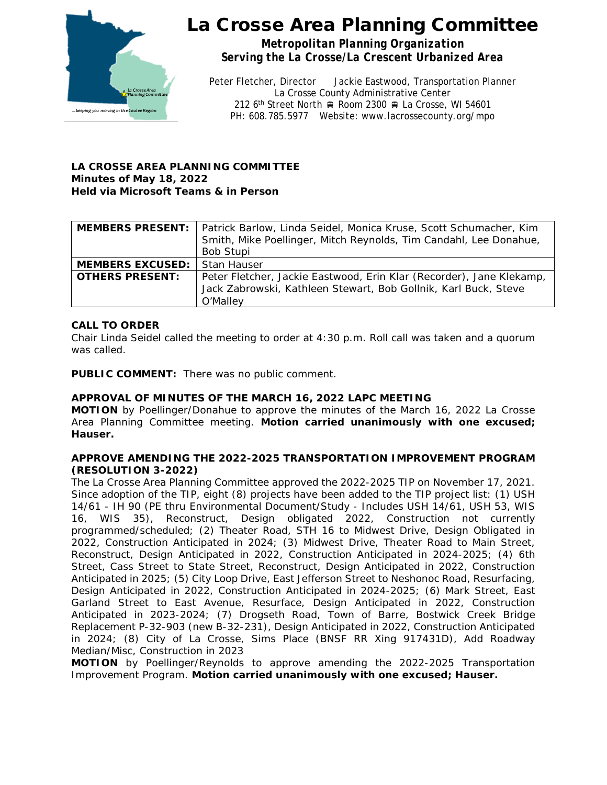

*Metropolitan Planning Organization Serving the La Crosse/La Crescent Urbanized Area*

Peter Fletcher, Director Jackie Eastwood, Transportation Planner La Crosse County Administrative Center 212 6<sup>th</sup> Street North  $\oplus$  Room 2300  $\oplus$  La Crosse, WI 54601 PH: 608.785.5977 Website: www.lacrossecounty.org/mpo

## **LA CROSSE AREA PLANNING COMMITTEE Minutes of May 18, 2022 Held via Microsoft Teams & in Person**

|                         | <b>MEMBERS PRESENT:</b>   Patrick Barlow, Linda Seidel, Monica Kruse, Scott Schumacher, Kim |  |  |  |  |  |  |
|-------------------------|---------------------------------------------------------------------------------------------|--|--|--|--|--|--|
|                         | Smith, Mike Poellinger, Mitch Reynolds, Tim Candahl, Lee Donahue,                           |  |  |  |  |  |  |
|                         | Bob Stupi                                                                                   |  |  |  |  |  |  |
| <b>MEMBERS EXCUSED:</b> | Stan Hauser                                                                                 |  |  |  |  |  |  |
| <b>OTHERS PRESENT:</b>  | Peter Fletcher, Jackie Eastwood, Erin Klar (Recorder), Jane Klekamp,                        |  |  |  |  |  |  |
|                         | Jack Zabrowski, Kathleen Stewart, Bob Gollnik, Karl Buck, Steve                             |  |  |  |  |  |  |
|                         | O'Malley                                                                                    |  |  |  |  |  |  |

## **CALL TO ORDER**

Chair Linda Seidel called the meeting to order at 4:30 p.m. Roll call was taken and a quorum was called.

**PUBLIC COMMENT:** There was no public comment.

## **APPROVAL OF MINUTES OF THE MARCH 16, 2022 LAPC MEETING**

**MOTION** by Poellinger/Donahue to approve the minutes of the March 16, 2022 La Crosse Area Planning Committee meeting. **Motion carried unanimously with one excused; Hauser.**

### **APPROVE AMENDING THE 2022-2025 TRANSPORTATION IMPROVEMENT PROGRAM (RESOLUTION 3-2022)**

The La Crosse Area Planning Committee approved the 2022-2025 TIP on November 17, 2021. Since adoption of the TIP, eight (8) projects have been added to the TIP project list: (1) USH 14/61 - IH 90 (PE thru Environmental Document/Study - Includes USH 14/61, USH 53, WIS 16, WIS 35), Reconstruct, Design obligated 2022, Construction not currently programmed/scheduled; (2) Theater Road, STH 16 to Midwest Drive, Design Obligated in 2022, Construction Anticipated in 2024; (3) Midwest Drive, Theater Road to Main Street, Reconstruct, Design Anticipated in 2022, Construction Anticipated in 2024-2025; (4) 6th Street, Cass Street to State Street, Reconstruct, Design Anticipated in 2022, Construction Anticipated in 2025; (5) City Loop Drive, East Jefferson Street to Neshonoc Road, Resurfacing, Design Anticipated in 2022, Construction Anticipated in 2024-2025; (6) Mark Street, East Garland Street to East Avenue, Resurface, Design Anticipated in 2022, Construction Anticipated in 2023-2024; (7) Drogseth Road, Town of Barre, Bostwick Creek Bridge Replacement P-32-903 (new B-32-231), Design Anticipated in 2022, Construction Anticipated in 2024; (8) City of La Crosse, Sims Place (BNSF RR Xing 917431D), Add Roadway Median/Misc, Construction in 2023

**MOTION** by Poellinger/Reynolds to approve amending the 2022-2025 Transportation Improvement Program. **Motion carried unanimously with one excused; Hauser.**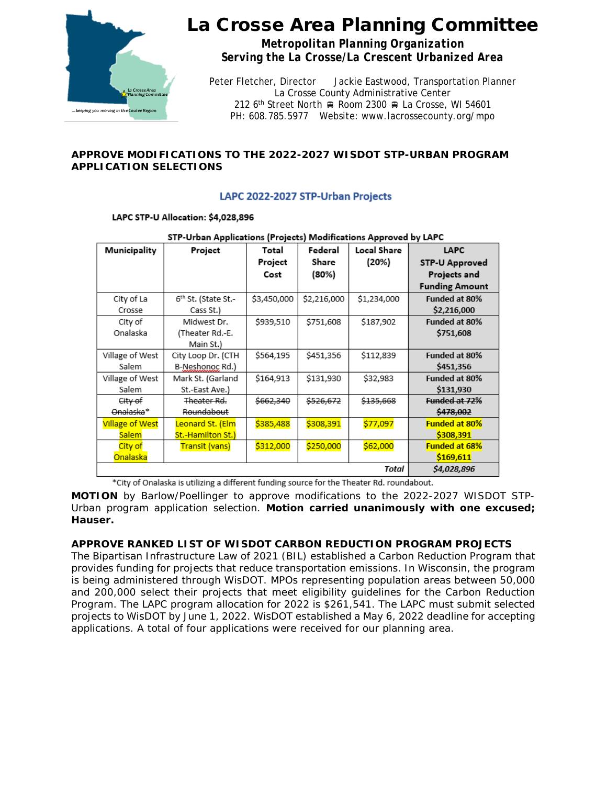

*Metropolitan Planning Organization Serving the La Crosse/La Crescent Urbanized Area*

Peter Fletcher, Director Jackie Eastwood, Transportation Planner La Crosse County Administrative Center 212 6<sup>th</sup> Street North  $\oplus$  Room 2300  $\oplus$  La Crosse, WI 54601 PH: 608.785.5977 Website: www.lacrossecounty.org/mpo

## **APPROVE MODIFICATIONS TO THE 2022-2027 WISDOT STP-URBAN PROGRAM APPLICATION SELECTIONS**

## LAPC 2022-2027 STP-Urban Projects

### LAPC STP-U Allocation: \$4,028,896

| STP-Orban Applications (Projects) Modifications Approved by LAPC |                                 |             |             |                    |                       |  |  |
|------------------------------------------------------------------|---------------------------------|-------------|-------------|--------------------|-----------------------|--|--|
| Municipality                                                     | Project                         | Total       | Federal     | <b>Local Share</b> | <b>LAPC</b>           |  |  |
|                                                                  |                                 | Project     | Share       | (20%)              | <b>STP-U Approved</b> |  |  |
|                                                                  |                                 | Cost        | (80%)       |                    | Projects and          |  |  |
|                                                                  |                                 |             |             |                    | <b>Funding Amount</b> |  |  |
| City of La                                                       | 6 <sup>th</sup> St. (State St.- | \$3,450,000 | \$2,216,000 | \$1,234,000        | Funded at 80%         |  |  |
| Crosse                                                           | Cass St.)                       |             |             |                    | \$2,216,000           |  |  |
| City of                                                          | Midwest Dr.                     | \$939,510   | \$751,608   | \$187,902          | Funded at 80%         |  |  |
| Onalaska                                                         | (Theater Rd.-E.                 |             |             |                    | \$751,608             |  |  |
|                                                                  | Main St.)                       |             |             |                    |                       |  |  |
| Village of West                                                  | City Loop Dr. (CTH              | \$564,195   | \$451,356   | \$112,839          | Funded at 80%         |  |  |
| Salem                                                            | B-Neshonoc Rd.)                 |             |             |                    | \$451,356             |  |  |
| Village of West                                                  | Mark St. (Garland               | \$164,913   | \$131,930   | \$32,983           | Funded at 80%         |  |  |
| Salem                                                            | St.-East Ave.)                  |             |             |                    | \$131,930             |  |  |
| <del>City of</del>                                               | Theater Rd.                     | \$662,340   | \$526,672   | \$135,668          | Funded at 72%         |  |  |
| Onalaska*                                                        | Roundabout                      |             |             |                    | \$478,002             |  |  |
| <b>Village of West</b>                                           | Leonard St. (Elm                | \$385,488   | \$308,391   | \$77,097           | <b>Funded at 80%</b>  |  |  |
| <b>Salem</b>                                                     | St.-Hamilton St.)               |             |             |                    | \$308,391             |  |  |
| City of                                                          | <b>Transit (vans)</b>           | \$312,000   | \$250,000   | \$62,000           | <b>Funded at 68%</b>  |  |  |
| Onalaska                                                         |                                 |             |             |                    | \$169,611             |  |  |
|                                                                  | \$4,028,896                     |             |             |                    |                       |  |  |

### STR. Ushan Applications (Regiscts) Modifications Approved by LARC

\*City of Onalaska is utilizing a different funding source for the Theater Rd. roundabout.

**MOTION** by Barlow/Poellinger to approve modifications to the 2022-2027 WISDOT STP-Urban program application selection. **Motion carried unanimously with one excused; Hauser.**

## **APPROVE RANKED LIST OF WISDOT CARBON REDUCTION PROGRAM PROJECTS**

The Bipartisan Infrastructure Law of 2021 (BIL) established a Carbon Reduction Program that provides funding for projects that reduce transportation emissions. In Wisconsin, the program is being administered through WisDOT. MPOs representing population areas between 50,000 and 200,000 select their projects that meet eligibility guidelines for the Carbon Reduction Program. The LAPC program allocation for 2022 is \$261,541. The LAPC must submit selected projects to WisDOT by June 1, 2022. WisDOT established a May 6, 2022 deadline for accepting applications. A total of four applications were received for our planning area.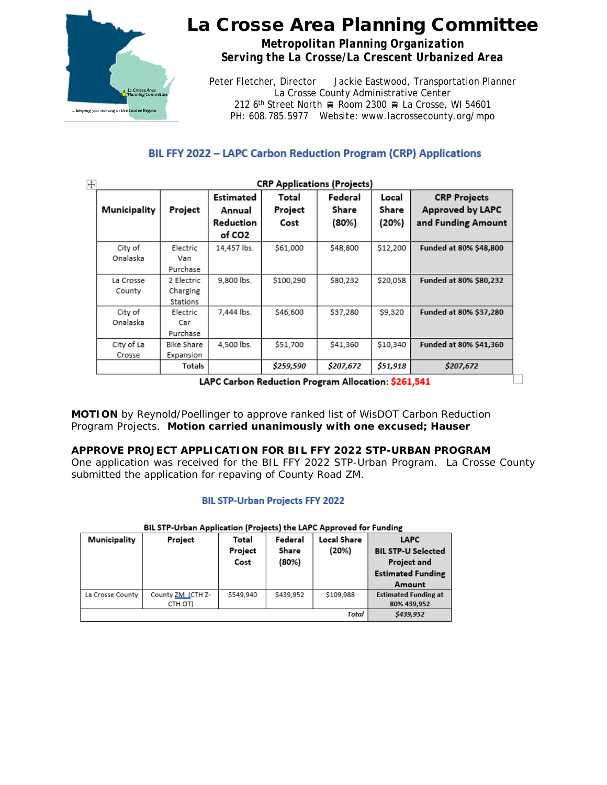

*Metropolitan Planning Organization Serving the La Crosse/La Crescent Urbanized Area*

Peter Fletcher, Director Jackie Eastwood, Transportation Planner La Crosse County Administrative Center 212 6<sup>th</sup> Street North  $\oplus$  Room 2300  $\oplus$  La Crosse, WI 54601 PH: 608.785.5977 Website: www.lacrossecounty.org/mpo

## BIL FFY 2022 - LAPC Carbon Reduction Program (CRP) Applications

| <b>CRP Applications (Projects)</b> |                                    |                                            |                          |                           |                         |                                                                      |
|------------------------------------|------------------------------------|--------------------------------------------|--------------------------|---------------------------|-------------------------|----------------------------------------------------------------------|
| Municipality                       | Project                            | Estimated<br>Annual<br>Reduction<br>of CO2 | Total<br>Project<br>Cost | Federal<br>Share<br>(80%) | Local<br>Share<br>(20%) | <b>CRP Projects</b><br><b>Approved by LAPC</b><br>and Funding Amount |
| City of<br>Onalaska                | Electric<br>Van<br>Purchase        | 14,457 lbs.                                | \$61,000                 | \$48,800                  | \$12,200                | Funded at 80% \$48,800                                               |
| La Crosse<br>County                | 2 Electric<br>Charging<br>Stations | 9,800 lbs.                                 | \$100,290                | \$80,232                  | \$20,058                | Funded at 80% \$80,232                                               |
| City of<br>Onalaska                | Electric<br>Car<br>Purchase        | 7.444 lbs.                                 | \$46,600                 | \$37,280                  | \$9,320                 | Funded at 80% \$37,280                                               |
| City of La<br>Crosse               | <b>Bike Share</b><br>Expansion     | 4,500 lbs.                                 | \$51,700                 | \$41,360                  | \$10,340                | <b>Funded at 80% \$41,360</b>                                        |
|                                    | Totals                             |                                            | \$259,590                | \$207,672                 | \$51,918                | \$207,672                                                            |

LAPC Carbon Reduction Program Allocation: \$261,541

**MOTION** by Reynold/Poellinger to approve ranked list of WisDOT Carbon Reduction Program Projects. **Motion carried unanimously with one excused; Hauser**

## **APPROVE PROJECT APPLICATION FOR BIL FFY 2022 STP-URBAN PROGRAM**

One application was received for the BIL FFY 2022 STP-Urban Program. La Crosse County submitted the application for repaving of County Road ZM.

### **BIL STP-Urban Projects FFY 2022**

| Municipality     | Project                      | Total<br>Project<br>Cost | Federal<br>Share<br>(80%) | <b>Local Share</b><br>(20%) | <b>LAPC</b><br><b>BIL STP-U Selected</b><br>Project and<br><b>Estimated Funding</b><br>Amount |
|------------------|------------------------------|--------------------------|---------------------------|-----------------------------|-----------------------------------------------------------------------------------------------|
| La Crosse County | County ZM (CTH Z-<br>CTH OT) | \$549,940                | \$439,952                 | \$109,988                   | <b>Estimated Funding at</b><br>80% 439,952                                                    |
|                  |                              |                          |                           | Total                       | \$439,952                                                                                     |

#### BIL STP-Urban Application (Projects) the LAPC Approved for Funding